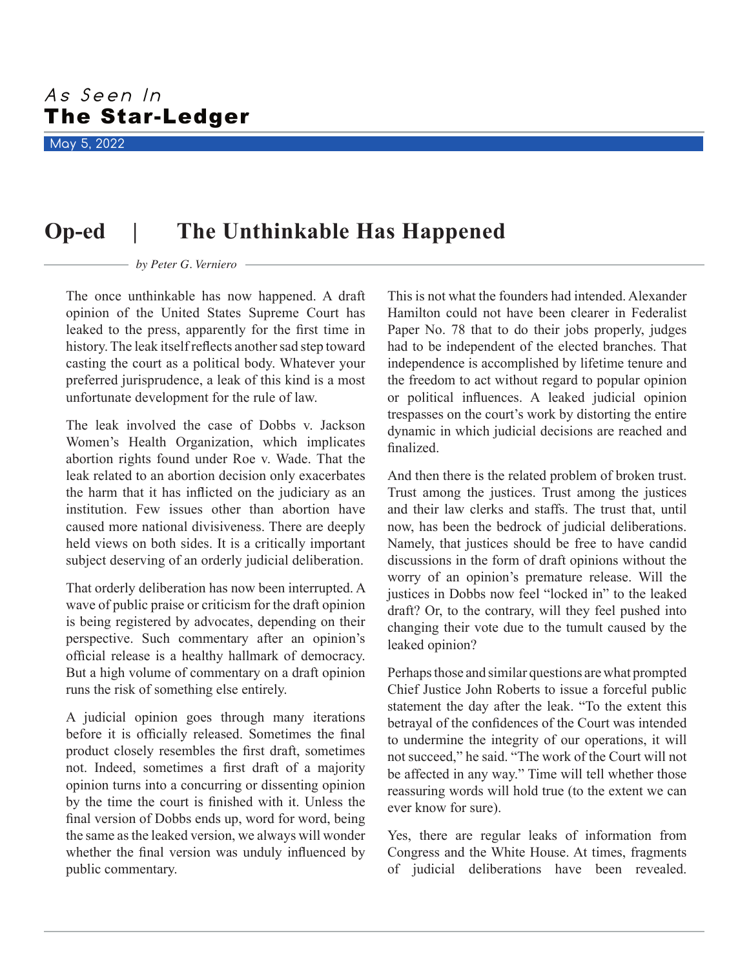May 5, 2022

## **Op-ed | The Unthinkable Has Happened**

## *by Peter G. Verniero*

The once unthinkable has now happened. A draft opinion of the United States Supreme Court has leaked to the press, apparently for the first time in history. The leak itself reflects another sad step toward casting the court as a political body. Whatever your preferred jurisprudence, a leak of this kind is a most unfortunate development for the rule of law.

The leak involved the case of Dobbs v. Jackson Women's Health Organization, which implicates abortion rights found under Roe v. Wade. That the leak related to an abortion decision only exacerbates the harm that it has inflicted on the judiciary as an institution. Few issues other than abortion have caused more national divisiveness. There are deeply held views on both sides. It is a critically important subject deserving of an orderly judicial deliberation.

That orderly deliberation has now been interrupted. A wave of public praise or criticism for the draft opinion is being registered by advocates, depending on their perspective. Such commentary after an opinion's official release is a healthy hallmark of democracy. But a high volume of commentary on a draft opinion runs the risk of something else entirely.

A judicial opinion goes through many iterations before it is officially released. Sometimes the final product closely resembles the first draft, sometimes not. Indeed, sometimes a first draft of a majority opinion turns into a concurring or dissenting opinion by the time the court is finished with it. Unless the final version of Dobbs ends up, word for word, being the same as the leaked version, we always will wonder whether the final version was unduly influenced by public commentary.

This is not what the founders had intended. Alexander Hamilton could not have been clearer in Federalist Paper No. 78 that to do their jobs properly, judges had to be independent of the elected branches. That independence is accomplished by lifetime tenure and the freedom to act without regard to popular opinion or political influences. A leaked judicial opinion trespasses on the court's work by distorting the entire dynamic in which judicial decisions are reached and finalized.

And then there is the related problem of broken trust. Trust among the justices. Trust among the justices and their law clerks and staffs. The trust that, until now, has been the bedrock of judicial deliberations. Namely, that justices should be free to have candid discussions in the form of draft opinions without the worry of an opinion's premature release. Will the justices in Dobbs now feel "locked in" to the leaked draft? Or, to the contrary, will they feel pushed into changing their vote due to the tumult caused by the leaked opinion?

Perhaps those and similar questions are what prompted Chief Justice John Roberts to issue a forceful public statement the day after the leak. "To the extent this betrayal of the confidences of the Court was intended to undermine the integrity of our operations, it will not succeed," he said. "The work of the Court will not be affected in any way." Time will tell whether those reassuring words will hold true (to the extent we can ever know for sure).

Yes, there are regular leaks of information from Congress and the White House. At times, fragments of judicial deliberations have been revealed.